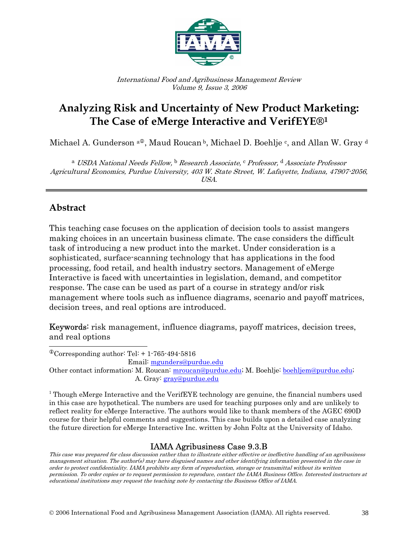

International Food and Agribusiness Management Review Volume 9, Issue 3, 2006

# **Analyzing Risk and Uncertainty of New Product Marketing: The Case of eMerge Interactive and VerifEYE®1**

Michael A. Gunderson  $a^0$ , Maud Roucan b, Michael D. Boehlje c, and Allan W. Gray d

<sup>a</sup> USDA National Needs Fellow, <sup>b</sup> Research Associate, <sup>c</sup> Professor, <sup>d</sup> Associate Professor Agricultural Economics, Purdue University, 403 W. State Street, W. Lafayette, Indiana, 47907-2056, USA.

## **Abstract**

This teaching case focuses on the application of decision tools to assist mangers making choices in an uncertain business climate. The case considers the difficult task of introducing a new product into the market. Under consideration is a sophisticated, surface-scanning technology that has applications in the food processing, food retail, and health industry sectors. Management of eMerge Interactive is faced with uncertainties in legislation, demand, and competitor response. The case can be used as part of a course in strategy and/or risk management where tools such as influence diagrams, scenario and payoff matrices, decision trees, and real options are introduced.

Keywords: risk management, influence diagrams, payoff matrices, decision trees, and real options

 $\overline{\phantom{a}}$  $^{\circ}$ Corresponding author: Tel: + 1-765-494-5816 Email: mgunders@purdue.edu Other contact information: M. Roucan: mroucan@purdue.edu; M. Boehlje: boehljem@purdue.edu; A. Gray: gray@purdue.edu

<sup>1</sup> Though eMerge Interactive and the VerifEYE technology are genuine, the financial numbers used in this case are hypothetical. The numbers are used for teaching purposes only and are unlikely to reflect reality for eMerge Interactive. The authors would like to thank members of the AGEC 690D course for their helpful comments and suggestions. This case builds upon a detailed case analyzing the future direction for eMerge Interactive Inc. written by John Foltz at the University of Idaho.

#### IAMA Agribusiness Case 9.3.B

This case was prepared for class discussion rather than to illustrate either effective or ineffective handling of an agribusiness management situation. The author(s) may have disguised names and other identifying information presented in the case in order to protect confidentiality. IAMA prohibits any form of reproduction, storage or transmittal without its written permission. To order copies or to request permission to reproduce, contact the IAMA Business Office. Interested instructors at educational institutions may request the teaching note by contacting the Business Office of IAMA.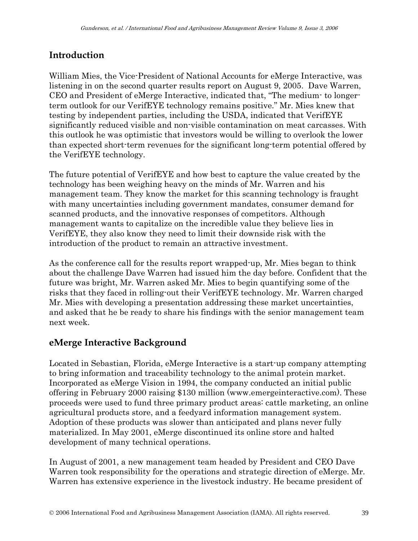# **Introduction**

William Mies, the Vice-President of National Accounts for eMerge Interactive, was listening in on the second quarter results report on August 9, 2005. Dave Warren, CEO and President of eMerge Interactive, indicated that, "The medium- to longerterm outlook for our VerifEYE technology remains positive." Mr. Mies knew that testing by independent parties, including the USDA, indicated that VerifEYE significantly reduced visible and non-visible contamination on meat carcasses. With this outlook he was optimistic that investors would be willing to overlook the lower than expected short-term revenues for the significant long-term potential offered by the VerifEYE technology.

The future potential of VerifEYE and how best to capture the value created by the technology has been weighing heavy on the minds of Mr. Warren and his management team. They know the market for this scanning technology is fraught with many uncertainties including government mandates, consumer demand for scanned products, and the innovative responses of competitors. Although management wants to capitalize on the incredible value they believe lies in VerifEYE, they also know they need to limit their downside risk with the introduction of the product to remain an attractive investment.

As the conference call for the results report wrapped-up, Mr. Mies began to think about the challenge Dave Warren had issued him the day before. Confident that the future was bright, Mr. Warren asked Mr. Mies to begin quantifying some of the risks that they faced in rolling-out their VerifEYE technology. Mr. Warren charged Mr. Mies with developing a presentation addressing these market uncertainties, and asked that he be ready to share his findings with the senior management team next week.

### **eMerge Interactive Background**

Located in Sebastian, Florida, eMerge Interactive is a start-up company attempting to bring information and traceability technology to the animal protein market. Incorporated as eMerge Vision in 1994, the company conducted an initial public offering in February 2000 raising \$130 million (www.emergeinteractive.com). These proceeds were used to fund three primary product areas: cattle marketing, an online agricultural products store, and a feedyard information management system. Adoption of these products was slower than anticipated and plans never fully materialized. In May 2001, eMerge discontinued its online store and halted development of many technical operations.

In August of 2001, a new management team headed by President and CEO Dave Warren took responsibility for the operations and strategic direction of eMerge. Mr. Warren has extensive experience in the livestock industry. He became president of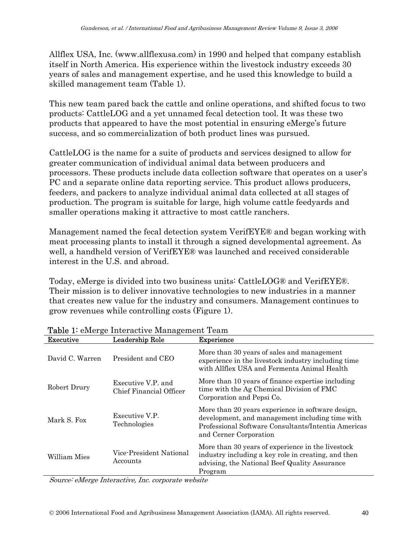Allflex USA, Inc. (www.allflexusa.com) in 1990 and helped that company establish itself in North America. His experience within the livestock industry exceeds 30 years of sales and management expertise, and he used this knowledge to build a skilled management team (Table 1).

This new team pared back the cattle and online operations, and shifted focus to two products: CattleLOG and a yet unnamed fecal detection tool. It was these two products that appeared to have the most potential in ensuring eMerge's future success, and so commercialization of both product lines was pursued.

CattleLOG is the name for a suite of products and services designed to allow for greater communication of individual animal data between producers and processors. These products include data collection software that operates on a user's PC and a separate online data reporting service. This product allows producers, feeders, and packers to analyze individual animal data collected at all stages of production. The program is suitable for large, high volume cattle feedyards and smaller operations making it attractive to most cattle ranchers.

Management named the fecal detection system VerifEYE® and began working with meat processing plants to install it through a signed developmental agreement. As well, a handheld version of VerifEYE® was launched and received considerable interest in the U.S. and abroad.

Today, eMerge is divided into two business units: CattleLOG® and VerifEYE®. Their mission is to deliver innovative technologies to new industries in a manner that creates new value for the industry and consumers. Management continues to grow revenues while controlling costs (Figure 1).

| <b>Executive</b> | Leadership Role                               | <b>Experience</b>                                                                                                                                                                     |
|------------------|-----------------------------------------------|---------------------------------------------------------------------------------------------------------------------------------------------------------------------------------------|
| David C. Warren  | President and CEO                             | More than 30 years of sales and management<br>experience in the livestock industry including time<br>with Allflex USA and Fermenta Animal Health                                      |
| Robert Drury     | Executive V.P. and<br>Chief Financial Officer | More than 10 years of finance expertise including<br>time with the Ag Chemical Division of FMC<br>Corporation and Pepsi Co.                                                           |
| Mark S. Fox      | Executive V.P.<br>Technologies                | More than 20 years experience in software design,<br>development, and management including time with<br>Professional Software Consultants/Intentia Americas<br>and Cerner Corporation |
| William Mies     | Vice-President National<br>Accounts           | More than 30 years of experience in the livestock<br>industry including a key role in creating, and then<br>advising, the National Beef Quality Assurance<br>Program                  |

Table 1: eMerge Interactive Management Team

Source: eMerge Interactive, Inc. corporate website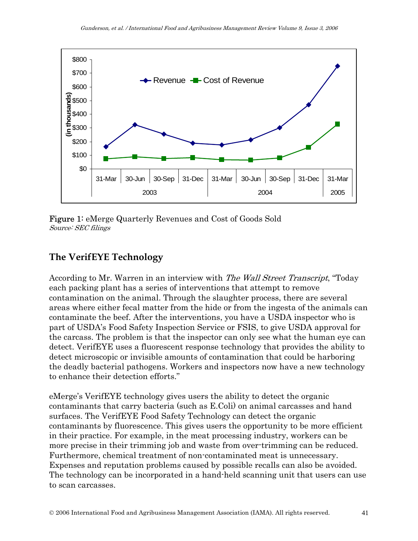

Figure 1: eMerge Quarterly Revenues and Cost of Goods Sold Source: SEC filings

### **The VerifEYE Technology**

According to Mr. Warren in an interview with *The Wall Street Transcript*, "Today each packing plant has a series of interventions that attempt to remove contamination on the animal. Through the slaughter process, there are several areas where either fecal matter from the hide or from the ingesta of the animals can contaminate the beef. After the interventions, you have a USDA inspector who is part of USDA's Food Safety Inspection Service or FSIS, to give USDA approval for the carcass. The problem is that the inspector can only see what the human eye can detect. VerifEYE uses a fluorescent response technology that provides the ability to detect microscopic or invisible amounts of contamination that could be harboring the deadly bacterial pathogens. Workers and inspectors now have a new technology to enhance their detection efforts."

eMerge's VerifEYE technology gives users the ability to detect the organic contaminants that carry bacteria (such as E.Coli) on animal carcasses and hand surfaces. The VerifEYE Food Safety Technology can detect the organic contaminants by fluorescence. This gives users the opportunity to be more efficient in their practice. For example, in the meat processing industry, workers can be more precise in their trimming job and waste from over-trimming can be reduced. Furthermore, chemical treatment of non-contaminated meat is unnecessary. Expenses and reputation problems caused by possible recalls can also be avoided. The technology can be incorporated in a hand-held scanning unit that users can use to scan carcasses.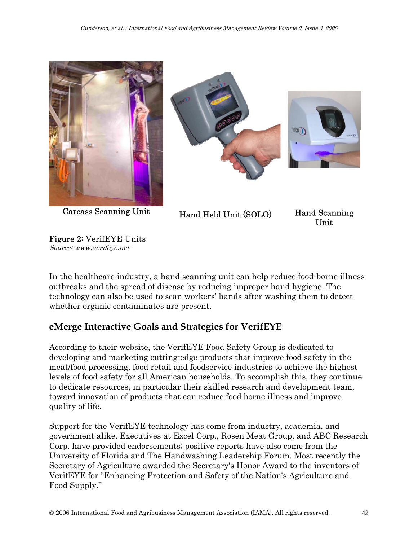

Carcass Scanning Unit



Hand Held Unit (SOLO)

Hand Scanning Unit

Figure 2: VerifEYE Units Source: www.verifeye.net

In the healthcare industry, a hand scanning unit can help reduce food-borne illness outbreaks and the spread of disease by reducing improper hand hygiene. The technology can also be used to scan workers' hands after washing them to detect whether organic contaminates are present.

#### **eMerge Interactive Goals and Strategies for VerifEYE**

According to their website, the VerifEYE Food Safety Group is dedicated to developing and marketing cutting-edge products that improve food safety in the meat/food processing, food retail and foodservice industries to achieve the highest levels of food safety for all American households. To accomplish this, they continue to dedicate resources, in particular their skilled research and development team, toward innovation of products that can reduce food borne illness and improve quality of life.

Support for the VerifEYE technology has come from industry, academia, and government alike. Executives at Excel Corp., Rosen Meat Group, and ABC Research Corp. have provided endorsements; positive reports have also come from the University of Florida and The Handwashing Leadership Forum. Most recently the Secretary of Agriculture awarded the Secretary's Honor Award to the inventors of VerifEYE for "Enhancing Protection and Safety of the Nation's Agriculture and Food Supply."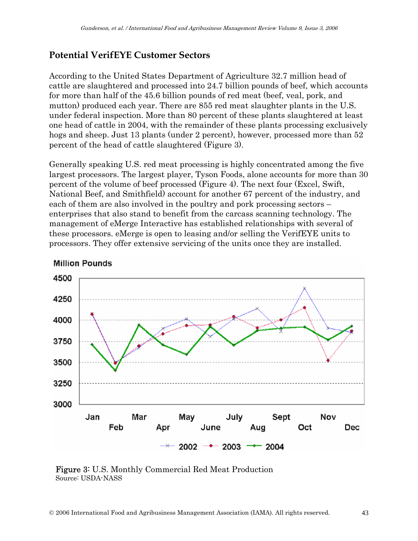### **Potential VerifEYE Customer Sectors**

According to the United States Department of Agriculture 32.7 million head of cattle are slaughtered and processed into 24.7 billion pounds of beef, which accounts for more than half of the 45.6 billion pounds of red meat (beef, veal, pork, and mutton) produced each year. There are 855 red meat slaughter plants in the U.S. under federal inspection. More than 80 percent of these plants slaughtered at least one head of cattle in 2004, with the remainder of these plants processing exclusively hogs and sheep. Just 13 plants (under 2 percent), however, processed more than 52 percent of the head of cattle slaughtered (Figure 3).

Generally speaking U.S. red meat processing is highly concentrated among the five largest processors. The largest player, Tyson Foods, alone accounts for more than 30 percent of the volume of beef processed (Figure 4). The next four (Excel, Swift, National Beef, and Smithfield) account for another 67 percent of the industry, and each of them are also involved in the poultry and pork processing sectors – enterprises that also stand to benefit from the carcass scanning technology. The management of eMerge Interactive has established relationships with several of these processors. eMerge is open to leasing and/or selling the VerifEYE units to processors. They offer extensive servicing of the units once they are installed.



#### **Million Pounds**

Figure 3: U.S. Monthly Commercial Red Meat Production Source: USDA-NASS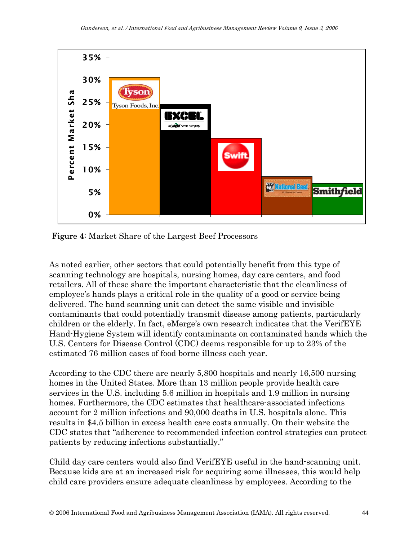

Figure 4: Market Share of the Largest Beef Processors

As noted earlier, other sectors that could potentially benefit from this type of scanning technology are hospitals, nursing homes, day care centers, and food retailers. All of these share the important characteristic that the cleanliness of employee's hands plays a critical role in the quality of a good or service being delivered. The hand scanning unit can detect the same visible and invisible contaminants that could potentially transmit disease among patients, particularly children or the elderly. In fact, eMerge's own research indicates that the VerifEYE Hand-Hygiene System will identify contaminants on contaminated hands which the U.S. Centers for Disease Control (CDC) deems responsible for up to 23% of the estimated 76 million cases of food borne illness each year.

According to the CDC there are nearly 5,800 hospitals and nearly 16,500 nursing homes in the United States. More than 13 million people provide health care services in the U.S. including 5.6 million in hospitals and 1.9 million in nursing homes. Furthermore, the CDC estimates that healthcare-associated infections account for 2 million infections and 90,000 deaths in U.S. hospitals alone. This results in \$4.5 billion in excess health care costs annually. On their website the CDC states that "adherence to recommended infection control strategies can protect patients by reducing infections substantially."

Child day care centers would also find VerifEYE useful in the hand-scanning unit. Because kids are at an increased risk for acquiring some illnesses, this would help child care providers ensure adequate cleanliness by employees. According to the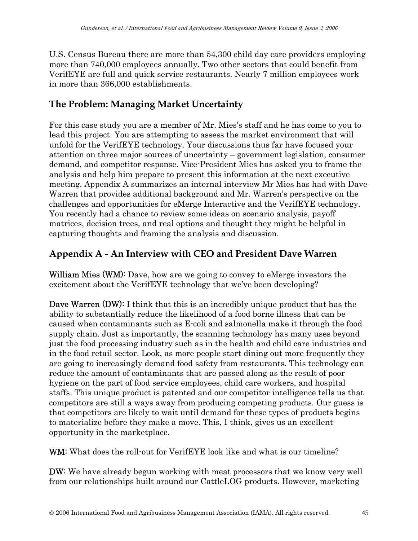U.S. Census Bureau there are more than 54,300 child day care providers employing more than 740,000 employees annually. Two other sectors that could benefit from VerifEYE are full and quick service restaurants. Nearly 7 million employees work in more than 366,000 establishments.

# **The Problem: Managing Market Uncertainty**

For this case study you are a member of Mr. Mies's staff and he has come to you to lead this project. You are attempting to assess the market environment that will unfold for the VerifEYE technology. Your discussions thus far have focused your attention on three major sources of uncertainty – government legislation, consumer demand, and competitor response. Vice-President Mies has asked you to frame the analysis and help him prepare to present this information at the next executive meeting. Appendix A summarizes an internal interview Mr Mies has had with Dave Warren that provides additional background and Mr. Warren's perspective on the challenges and opportunities for eMerge Interactive and the VerifEYE technology. You recently had a chance to review some ideas on scenario analysis, payoff matrices, decision trees, and real options and thought they might be helpful in capturing thoughts and framing the analysis and discussion.

## **Appendix A - An Interview with CEO and President Dave Warren**

William Mies (WM): Dave, how are we going to convey to eMerge investors the excitement about the VerifEYE technology that we've been developing?

Dave Warren (DW): I think that this is an incredibly unique product that has the ability to substantially reduce the likelihood of a food borne illness that can be caused when contaminants such as E-coli and salmonella make it through the food supply chain. Just as importantly, the scanning technology has many uses beyond just the food processing industry such as in the health and child care industries and in the food retail sector. Look, as more people start dining out more frequently they are going to increasingly demand food safety from restaurants. This technology can reduce the amount of contaminants that are passed along as the result of poor hygiene on the part of food service employees, child care workers, and hospital staffs. This unique product is patented and our competitor intelligence tells us that competitors are still a ways away from producing competing products. Our guess is that competitors are likely to wait until demand for these types of products begins to materialize before they make a move. This, I think, gives us an excellent opportunity in the marketplace.

WM: What does the roll-out for VerifEYE look like and what is our timeline?

DW: We have already begun working with meat processors that we know very well from our relationships built around our CattleLOG products. However, marketing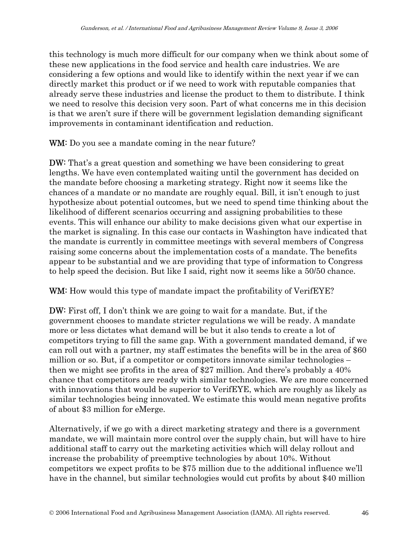this technology is much more difficult for our company when we think about some of these new applications in the food service and health care industries. We are considering a few options and would like to identify within the next year if we can directly market this product or if we need to work with reputable companies that already serve these industries and license the product to them to distribute. I think we need to resolve this decision very soon. Part of what concerns me in this decision is that we aren't sure if there will be government legislation demanding significant improvements in contaminant identification and reduction.

W. Do you see a mandate coming in the near future?

DW: That's a great question and something we have been considering to great lengths. We have even contemplated waiting until the government has decided on the mandate before choosing a marketing strategy. Right now it seems like the chances of a mandate or no mandate are roughly equal. Bill, it isn't enough to just hypothesize about potential outcomes, but we need to spend time thinking about the likelihood of different scenarios occurring and assigning probabilities to these events. This will enhance our ability to make decisions given what our expertise in the market is signaling. In this case our contacts in Washington have indicated that the mandate is currently in committee meetings with several members of Congress raising some concerns about the implementation costs of a mandate. The benefits appear to be substantial and we are providing that type of information to Congress to help speed the decision. But like I said, right now it seems like a 50/50 chance.

W. How would this type of mandate impact the profitability of VerifEYE?

DW: First off, I don't think we are going to wait for a mandate. But, if the government chooses to mandate stricter regulations we will be ready. A mandate more or less dictates what demand will be but it also tends to create a lot of competitors trying to fill the same gap. With a government mandated demand, if we can roll out with a partner, my staff estimates the benefits will be in the area of \$60 million or so. But, if a competitor or competitors innovate similar technologies – then we might see profits in the area of \$27 million. And there's probably a 40% chance that competitors are ready with similar technologies. We are more concerned with innovations that would be superior to VerifEYE, which are roughly as likely as similar technologies being innovated. We estimate this would mean negative profits of about \$3 million for eMerge.

Alternatively, if we go with a direct marketing strategy and there is a government mandate, we will maintain more control over the supply chain, but will have to hire additional staff to carry out the marketing activities which will delay rollout and increase the probability of preemptive technologies by about 10%. Without competitors we expect profits to be \$75 million due to the additional influence we'll have in the channel, but similar technologies would cut profits by about \$40 million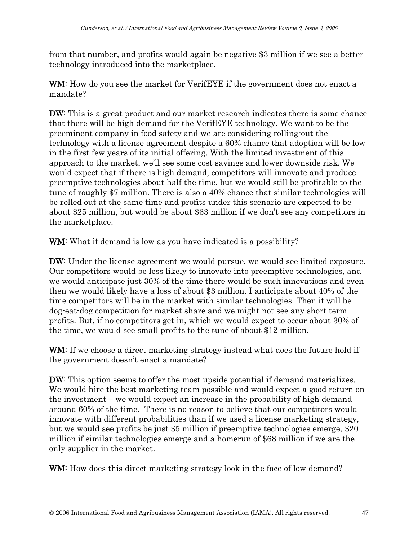from that number, and profits would again be negative \$3 million if we see a better technology introduced into the marketplace.

WM: How do you see the market for VerifEYE if the government does not enact a mandate?

DW: This is a great product and our market research indicates there is some chance that there will be high demand for the VerifEYE technology. We want to be the preeminent company in food safety and we are considering rolling-out the technology with a license agreement despite a 60% chance that adoption will be low in the first few years of its initial offering. With the limited investment of this approach to the market, we'll see some cost savings and lower downside risk. We would expect that if there is high demand, competitors will innovate and produce preemptive technologies about half the time, but we would still be profitable to the tune of roughly \$7 million. There is also a 40% chance that similar technologies will be rolled out at the same time and profits under this scenario are expected to be about \$25 million, but would be about \$63 million if we don't see any competitors in the marketplace.

W.W. What if demand is low as you have indicated is a possibility?

DW: Under the license agreement we would pursue, we would see limited exposure. Our competitors would be less likely to innovate into preemptive technologies, and we would anticipate just 30% of the time there would be such innovations and even then we would likely have a loss of about \$3 million. I anticipate about 40% of the time competitors will be in the market with similar technologies. Then it will be dog-eat-dog competition for market share and we might not see any short term profits. But, if no competitors get in, which we would expect to occur about 30% of the time, we would see small profits to the tune of about \$12 million.

WM: If we choose a direct marketing strategy instead what does the future hold if the government doesn't enact a mandate?

DW: This option seems to offer the most upside potential if demand materializes. We would hire the best marketing team possible and would expect a good return on the investment – we would expect an increase in the probability of high demand around 60% of the time. There is no reason to believe that our competitors would innovate with different probabilities than if we used a license marketing strategy, but we would see profits be just \$5 million if preemptive technologies emerge, \$20 million if similar technologies emerge and a homerun of \$68 million if we are the only supplier in the market.

WM: How does this direct marketing strategy look in the face of low demand?